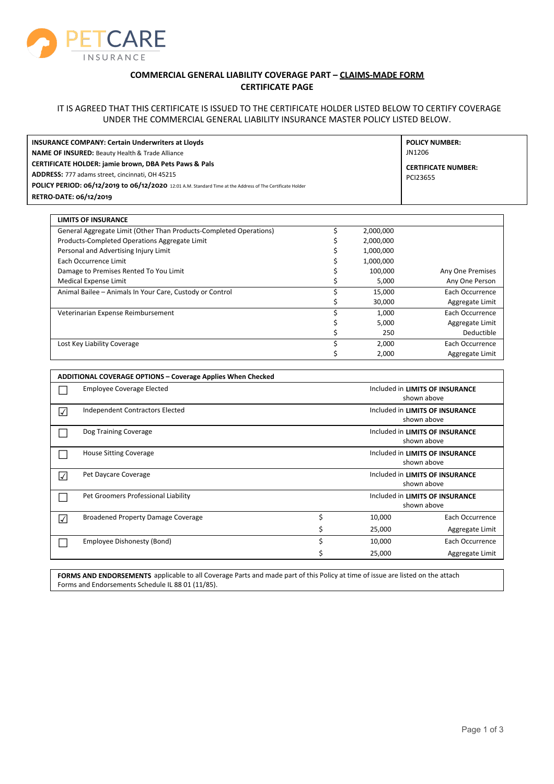

## **COMMERCIAL GENERAL LIABILITY COVERAGE PART – CLAIMS-MADE FORM CERTIFICATE PAGE**

## IT IS AGREED THAT THIS CERTIFICATE IS ISSUED TO THE CERTIFICATE HOLDER LISTED BELOW TO CERTIFY COVERAGE UNDER THE COMMERCIAL GENERAL LIABILITY INSURANCE MASTER POLICY LISTED BELOW.

| <b>INSURANCE COMPANY: Certain Underwriters at Lloyds</b>                                                                       | <b>POLICY NUMBER:</b>                  |
|--------------------------------------------------------------------------------------------------------------------------------|----------------------------------------|
| <b>NAME OF INSURED: Beauty Health &amp; Trade Alliance</b><br><b>CERTIFICATE HOLDER: jamie brown, DBA Pets Paws &amp; Pals</b> | JN1206                                 |
| ADDRESS: 777 adams street, cincinnati, OH 45215                                                                                | <b>CERTIFICATE NUMBER:</b><br>PCI23655 |
| POLICY PERIOD: 06/12/2019 to 06/12/2020 12:01 A.M. Standard Time at the Address of The Certificate Holder                      |                                        |
| RETRO-DATE: 06/12/2019                                                                                                         |                                        |

| <b>LIMITS OF INSURANCE</b>                                         |           |                  |
|--------------------------------------------------------------------|-----------|------------------|
| General Aggregate Limit (Other Than Products-Completed Operations) | 2,000,000 |                  |
| Products-Completed Operations Aggregate Limit                      | 2,000,000 |                  |
| Personal and Advertising Injury Limit                              | 1,000,000 |                  |
| Each Occurrence Limit                                              | 1,000,000 |                  |
| Damage to Premises Rented To You Limit                             | 100.000   | Any One Premises |
| <b>Medical Expense Limit</b>                                       | 5,000     | Any One Person   |
| Animal Bailee - Animals In Your Care, Custody or Control           | 15,000    | Each Occurrence  |
|                                                                    | 30,000    | Aggregate Limit  |
| Veterinarian Expense Reimbursement                                 | 1.000     | Each Occurrence  |
|                                                                    | 5,000     | Aggregate Limit  |
|                                                                    | 250       | Deductible       |
| Lost Key Liability Coverage                                        | 2,000     | Each Occurrence  |
|                                                                    | 2,000     | Aggregate Limit  |

| <b>ADDITIONAL COVERAGE OPTIONS - Coverage Applies When Checked</b> |                                           |                                                |                                                |                 |
|--------------------------------------------------------------------|-------------------------------------------|------------------------------------------------|------------------------------------------------|-----------------|
|                                                                    | <b>Employee Coverage Elected</b>          | Included in LIMITS OF INSURANCE<br>shown above |                                                |                 |
| $\blacktriangledown$                                               | Independent Contractors Elected           | Included in LIMITS OF INSURANCE<br>shown above |                                                |                 |
|                                                                    | Dog Training Coverage                     | Included in LIMITS OF INSURANCE<br>shown above |                                                |                 |
|                                                                    | <b>House Sitting Coverage</b>             | Included in LIMITS OF INSURANCE<br>shown above |                                                |                 |
| $\blacktriangledown$                                               | Pet Daycare Coverage                      |                                                | Included in LIMITS OF INSURANCE<br>shown above |                 |
|                                                                    | Pet Groomers Professional Liability       |                                                | Included in LIMITS OF INSURANCE<br>shown above |                 |
| $\sqrt{}$                                                          | <b>Broadened Property Damage Coverage</b> | Ś                                              | 10,000                                         | Each Occurrence |
|                                                                    |                                           | \$                                             | 25,000                                         | Aggregate Limit |
|                                                                    | Employee Dishonesty (Bond)                | Ś                                              | 10,000                                         | Each Occurrence |
|                                                                    |                                           |                                                | 25,000                                         | Aggregate Limit |

**FORMS AND ENDORSEMENTS** applicable to all Coverage Parts and made part of this Policy at time of issue are listed on the attach Forms and Endorsements Schedule IL 88 01 (11/85).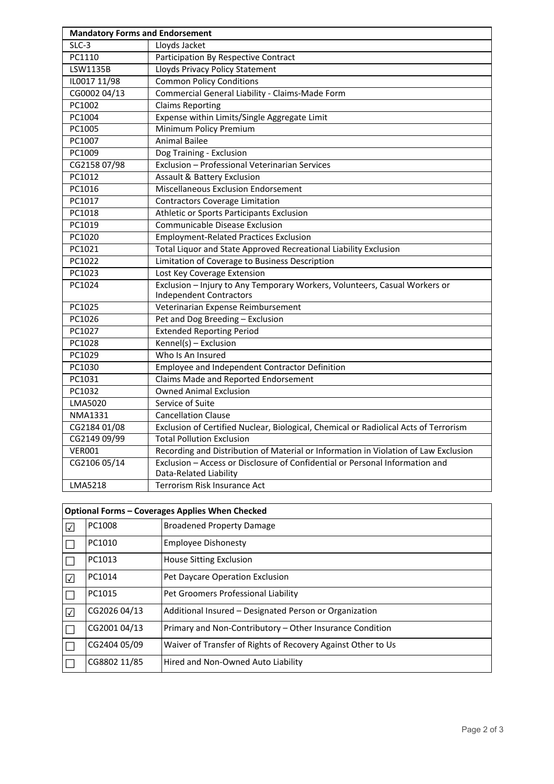| <b>Mandatory Forms and Endorsement</b> |                                                                                                              |  |
|----------------------------------------|--------------------------------------------------------------------------------------------------------------|--|
| $SLC-3$                                | Lloyds Jacket                                                                                                |  |
| PC1110                                 | Participation By Respective Contract                                                                         |  |
| LSW1135B                               | Lloyds Privacy Policy Statement                                                                              |  |
| IL0017 11/98                           | <b>Common Policy Conditions</b>                                                                              |  |
| CG0002 04/13                           | Commercial General Liability - Claims-Made Form                                                              |  |
| PC1002                                 | <b>Claims Reporting</b>                                                                                      |  |
| PC1004                                 | Expense within Limits/Single Aggregate Limit                                                                 |  |
| PC1005                                 | Minimum Policy Premium                                                                                       |  |
| PC1007                                 | <b>Animal Bailee</b>                                                                                         |  |
| PC1009                                 | Dog Training - Exclusion                                                                                     |  |
| CG2158 07/98                           | Exclusion - Professional Veterinarian Services                                                               |  |
| PC1012                                 | <b>Assault &amp; Battery Exclusion</b>                                                                       |  |
| PC1016                                 | Miscellaneous Exclusion Endorsement                                                                          |  |
| PC1017                                 | <b>Contractors Coverage Limitation</b>                                                                       |  |
| PC1018                                 | Athletic or Sports Participants Exclusion                                                                    |  |
| PC1019                                 | <b>Communicable Disease Exclusion</b>                                                                        |  |
| PC1020                                 | <b>Employment-Related Practices Exclusion</b>                                                                |  |
| PC1021                                 | Total Liquor and State Approved Recreational Liability Exclusion                                             |  |
| PC1022                                 | Limitation of Coverage to Business Description                                                               |  |
| PC1023                                 | Lost Key Coverage Extension                                                                                  |  |
| PC1024                                 | Exclusion - Injury to Any Temporary Workers, Volunteers, Casual Workers or<br><b>Independent Contractors</b> |  |
| PC1025                                 | Veterinarian Expense Reimbursement                                                                           |  |
| PC1026                                 | Pet and Dog Breeding - Exclusion                                                                             |  |
| PC1027                                 | <b>Extended Reporting Period</b>                                                                             |  |
| PC1028                                 | $Kennel(s) - Exclusion$                                                                                      |  |
| PC1029                                 | Who Is An Insured                                                                                            |  |
| PC1030                                 | Employee and Independent Contractor Definition                                                               |  |
| PC1031                                 | Claims Made and Reported Endorsement                                                                         |  |
| PC1032                                 | <b>Owned Animal Exclusion</b>                                                                                |  |
| <b>LMA5020</b>                         | Service of Suite                                                                                             |  |
| $NMA$ 1331                             | <b>Cancellation Clause</b>                                                                                   |  |
| CG2184 01/08                           | Exclusion of Certified Nuclear, Biological, Chemical or Radiolical Acts of Terrorism                         |  |
| CG2149 09/99                           | <b>Total Pollution Exclusion</b>                                                                             |  |
| <b>VER001</b>                          | Recording and Distribution of Material or Information in Violation of Law Exclusion                          |  |
| CG2106 05/14                           | Exclusion - Access or Disclosure of Confidential or Personal Information and<br>Data-Related Liability       |  |
| <b>LMA5218</b>                         | Terrorism Risk Insurance Act                                                                                 |  |

| <b>Optional Forms - Coverages Applies When Checked</b> |              |                                                              |
|--------------------------------------------------------|--------------|--------------------------------------------------------------|
| $\sqrt{}$                                              | PC1008       | <b>Broadened Property Damage</b>                             |
| ∐                                                      | PC1010       | <b>Employee Dishonesty</b>                                   |
| $\Box$                                                 | PC1013       | House Sitting Exclusion                                      |
| $\sqrt{ }$                                             | PC1014       | Pet Daycare Operation Exclusion                              |
| $\Box$                                                 | PC1015       | Pet Groomers Professional Liability                          |
| $\sqrt{}$                                              | CG2026 04/13 | Additional Insured - Designated Person or Organization       |
| IL.                                                    | CG2001 04/13 | Primary and Non-Contributory – Other Insurance Condition     |
| IL.                                                    | CG2404 05/09 | Waiver of Transfer of Rights of Recovery Against Other to Us |
| II.                                                    | CG8802 11/85 | Hired and Non-Owned Auto Liability                           |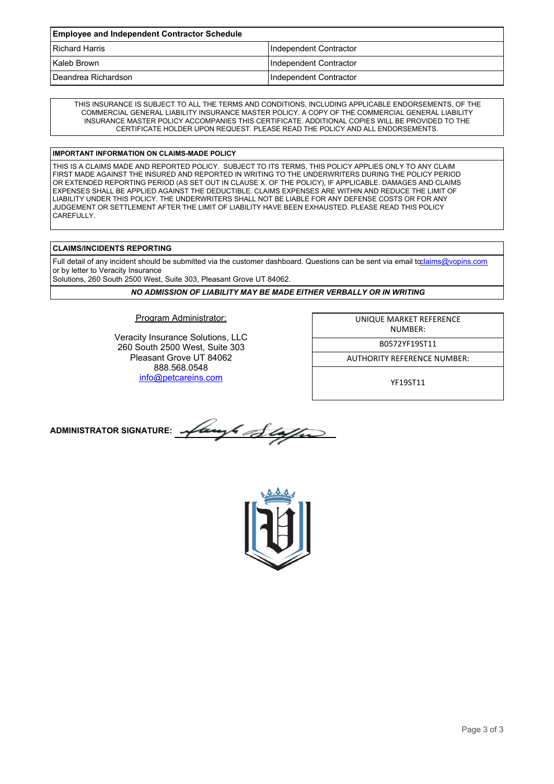| <b>Employee and Independent Contractor Schedule</b> |                        |  |
|-----------------------------------------------------|------------------------|--|
| <b>Richard Harris</b>                               | Independent Contractor |  |
| Kaleb Brown                                         | Independent Contractor |  |
| Deandrea Richardson                                 | Independent Contractor |  |

THIS INSURANCE IS SUBJECT TO ALL THE TERMS AND CONDITIONS, INCLUDING APPLICABLE ENDORSEMENTS, OF THE COMMERCIAL GENERAL LIABILITY INSURANCE MASTER POLICY. A COPY OF THE COMMERCIAL GENERAL LIABILITY INSURANCE MASTER POLICY ACCOMPANIES THIS CERTIFICATE. ADDITIONAL COPIES WILL BE PROVIDED TO THE CERTIFICATE HOLDER UPON REQUEST. PLEASE READ THE POLICY AND ALL ENDORSEMENTS.

## **IMPORTANT INFORMATION ON CLAIMS-MADE POLICY**

THIS IS A CLAIMS MADE AND REPORTED POLICY. SUBJECT TO ITS TERMS, THIS POLICY APPLIES ONLY TO ANY CLAIM FIRST MADE AGAINST THE INSURED AND REPORTED IN WRITING TO THE UNDERWRITERS DURING THE POLICY PERIOD OR EXTENDED REPORTING PERIOD (AS SET OUT IN CLAUSE X. OF THE POLICY), IF APPLICABLE. DAMAGES AND CLAIMS EXPENSES SHALL BE APPLIED AGAINST THE DEDUCTIBLE. CLAIMS EXPENSES ARE WITHIN AND REDUCE THE LIMIT OF LIABILITY UNDER THIS POLICY. THE UNDERWRITERS SHALL NOT BE LIABLE FOR ANY DEFENSE COSTS OR FOR ANY JUDGEMENT OR SETTLEMENT AFTER THE LIMIT OF LIABILITY HAVE BEEN EXHAUSTED. PLEASE READ THIS POLICY **CAREFULLY** 

## **CLAIMS/INCIDENTS REPORTING**

Full detail of any incident should be submitted via the customer dashboard. Questions can be sent via email t[oclaims@vopins.com](mailto:claims@vopins.com) or by letter to Veracity Insurance

Solutions, 260 South 2500 West, Suite 303, Pleasant Grove UT 84062.

*NO ADMISSION OF LIABILITY MAY BE MADE EITHER VERBALLY OR IN WRITING*

Program Administrator:

Veracity Insurance Solutions, LLC 260 South 2500 West, Suite 303 Pleasant Grove UT 84062 888.568.0548 [info@petcareins.com](mailto:info@petcareins.com)

UNIQUE MARKET REFERENCE NUMBER:

B0572YF19ST11

AUTHORITY REFERENCE NUMBER:

YF19ST11

**ADMINISTRATOR SIGNATURE:**